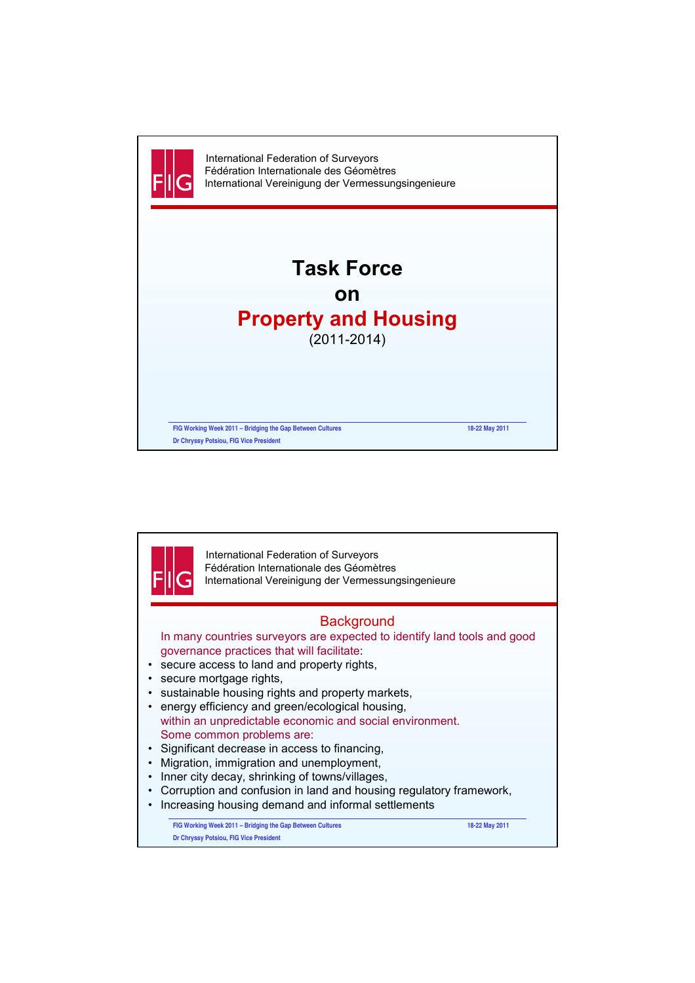